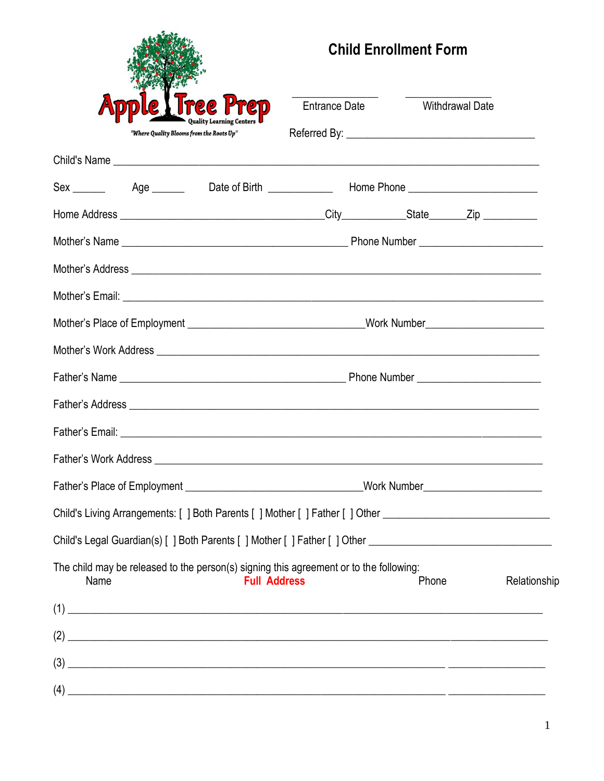|      |                                          |                                                                                                                                                                                                                                | <b>Child Enrollment Form</b> |                 |              |
|------|------------------------------------------|--------------------------------------------------------------------------------------------------------------------------------------------------------------------------------------------------------------------------------|------------------------------|-----------------|--------------|
|      |                                          | Entrance Date                                                                                                                                                                                                                  |                              | Withdrawal Date |              |
|      | "Where Quality Blooms from the Roots Up" |                                                                                                                                                                                                                                |                              |                 |              |
|      |                                          |                                                                                                                                                                                                                                |                              |                 |              |
|      |                                          | Sex ________  Age ________  Date of Birth _____________ Home Phone ________________________________                                                                                                                            |                              |                 |              |
|      |                                          |                                                                                                                                                                                                                                |                              |                 |              |
|      |                                          |                                                                                                                                                                                                                                |                              |                 |              |
|      |                                          | Mother's Address entertainment and the control of the control of the control of the control of the control of the control of the control of the control of the control of the control of the control of the control of the con |                              |                 |              |
|      |                                          |                                                                                                                                                                                                                                |                              |                 |              |
|      |                                          |                                                                                                                                                                                                                                |                              |                 |              |
|      |                                          |                                                                                                                                                                                                                                |                              |                 |              |
|      |                                          |                                                                                                                                                                                                                                |                              |                 |              |
|      |                                          |                                                                                                                                                                                                                                |                              |                 |              |
|      |                                          |                                                                                                                                                                                                                                |                              |                 |              |
|      |                                          |                                                                                                                                                                                                                                |                              |                 |              |
|      |                                          | Father's Place of Employment ________________________________Work Number____________________________                                                                                                                           |                              |                 |              |
|      |                                          | Child's Living Arrangements: [ ] Both Parents [ ] Mother [ ] Father [ ] Other ____________________________                                                                                                                     |                              |                 |              |
|      |                                          | Child's Legal Guardian(s) [ ] Both Parents [ ] Mother [ ] Father [ ] Other ___________________________________                                                                                                                 |                              |                 |              |
| Name | <b>Full Address</b>                      | The child may be released to the person(s) signing this agreement or to the following:                                                                                                                                         | Phone                        |                 | Relationship |
|      |                                          |                                                                                                                                                                                                                                |                              |                 |              |
|      |                                          | $(2)$ $\overline{\phantom{a}}$                                                                                                                                                                                                 |                              |                 |              |
|      |                                          |                                                                                                                                                                                                                                |                              |                 |              |
|      |                                          |                                                                                                                                                                                                                                |                              |                 |              |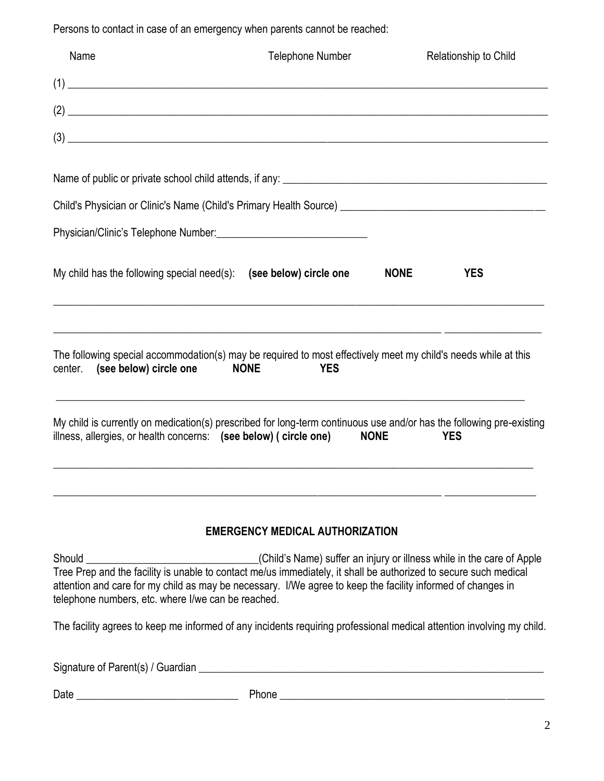Persons to contact in case of an emergency when parents cannot be reached:

| Name                           | <b>Telephone Number</b>                                                                                                                                                                                                                                                                                                                          |             | Relationship to Child |
|--------------------------------|--------------------------------------------------------------------------------------------------------------------------------------------------------------------------------------------------------------------------------------------------------------------------------------------------------------------------------------------------|-------------|-----------------------|
|                                |                                                                                                                                                                                                                                                                                                                                                  |             |                       |
|                                | $\left( 2\right)$                                                                                                                                                                                                                                                                                                                                |             |                       |
|                                | $\left(3\right)$ $\qquad \qquad$ $\qquad \qquad$ $\qquad$ $\qquad$ $\qquad$ $\qquad$ $\qquad$ $\qquad$ $\qquad$ $\qquad$ $\qquad$ $\qquad$ $\qquad$ $\qquad$ $\qquad$ $\qquad$ $\qquad$ $\qquad$ $\qquad$ $\qquad$ $\qquad$ $\qquad$ $\qquad$ $\qquad$ $\qquad$ $\qquad$ $\qquad$ $\qquad$ $\qquad$ $\qquad$ $\qquad$ $\qquad$ $\qquad$ $\qquad$ |             |                       |
|                                |                                                                                                                                                                                                                                                                                                                                                  |             |                       |
|                                | Child's Physician or Clinic's Name (Child's Primary Health Source) [19] [2012] [2013] [2013] [2014] [2014] [20                                                                                                                                                                                                                                   |             |                       |
|                                | Physician/Clinic's Telephone Number: National Physician/Clinic's Telephone Number:                                                                                                                                                                                                                                                               |             |                       |
|                                | My child has the following special need(s): (see below) circle one                                                                                                                                                                                                                                                                               | <b>NONE</b> | <b>YES</b>            |
| center. (see below) circle one | <u> 1989 - Johann Stoff, deutscher Stoffen und der Stoffen und der Stoffen und der Stoffen und der Stoffen und d</u><br>The following special accommodation(s) may be required to most effectively meet my child's needs while at this<br><b>NONE</b><br><b>YES</b>                                                                              |             |                       |
|                                | and the control of the control of the control of the control of the control of the control of the control of the<br>My child is currently on medication(s) prescribed for long-term continuous use and/or has the following pre-existing<br>illness, allergies, or health concerns: (see below) (circle one) NONE                                |             | <b>YES</b>            |
|                                | <b>EMERGENCY MEDICAL AUTHORIZATION</b>                                                                                                                                                                                                                                                                                                           |             |                       |

Should \_\_\_\_\_\_\_\_\_\_\_\_\_\_\_\_\_\_\_\_\_\_\_\_\_\_\_\_\_\_\_\_\_\_\_(Child's Name) suffer an injury or illness while in the care of Apple Tree Prep and the facility is unable to contact me/us immediately, it shall be authorized to secure such medical attention and care for my child as may be necessary. I/We agree to keep the facility informed of changes in telephone numbers, etc. where I/we can be reached.

The facility agrees to keep me informed of any incidents requiring professional medical attention involving my child.

Signature of Parent(s) / Guardian \_\_\_\_\_\_\_\_\_\_\_\_\_\_\_\_\_\_\_\_\_\_\_\_\_\_\_\_\_\_\_\_\_\_\_\_\_\_\_\_\_\_\_\_\_\_\_\_\_\_\_\_\_\_\_\_\_\_\_\_\_\_\_\_

| $\sum_{n=1}^{\infty}$ |   |
|-----------------------|---|
| υαιτ                  | . |
|                       |   |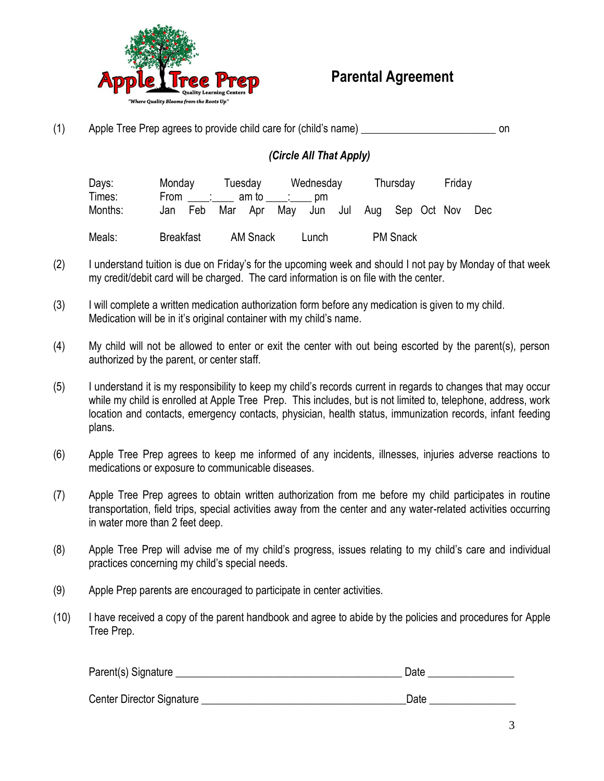

 **Parental Agreement**

| (1) | Apple Tree Prep agrees to provide child care for (child's name) | on |
|-----|-----------------------------------------------------------------|----|
|-----|-----------------------------------------------------------------|----|

#### *(Circle All That Apply)*

| Days:             | Monday           |               | Tuesday |                 |     | Wednesday                     |  | Thursday        | Friday |     |
|-------------------|------------------|---------------|---------|-----------------|-----|-------------------------------|--|-----------------|--------|-----|
| Times:<br>Months: | Jan              | From :<br>Feb | Mar Apr | am to           | Mav | pm<br>Jun Jul Aug Sep Oct Nov |  |                 |        | Dec |
| Meals:            | <b>Breakfast</b> |               |         | <b>AM Snack</b> |     | Lunch                         |  | <b>PM Snack</b> |        |     |

- (2) I understand tuition is due on Friday's for the upcoming week and should I not pay by Monday of that week my credit/debit card will be charged. The card information is on file with the center.
- (3) I will complete a written medication authorization form before any medication is given to my child. Medication will be in it's original container with my child's name.
- (4) My child will not be allowed to enter or exit the center with out being escorted by the parent(s), person authorized by the parent, or center staff.
- (5) I understand it is my responsibility to keep my child's records current in regards to changes that may occur while my child is enrolled at Apple Tree Prep. This includes, but is not limited to, telephone, address, work location and contacts, emergency contacts, physician, health status, immunization records, infant feeding plans.
- (6) Apple Tree Prep agrees to keep me informed of any incidents, illnesses, injuries adverse reactions to medications or exposure to communicable diseases.
- (7) Apple Tree Prep agrees to obtain written authorization from me before my child participates in routine transportation, field trips, special activities away from the center and any water-related activities occurring in water more than 2 feet deep.
- (8) Apple Tree Prep will advise me of my child's progress, issues relating to my child's care and individual practices concerning my child's special needs.
- (9) Apple Prep parents are encouraged to participate in center activities.
- (10) I have received a copy of the parent handbook and agree to abide by the policies and procedures for Apple Tree Prep.

| Parent(s) Signature       | Date |
|---------------------------|------|
| Center Director Signature | Date |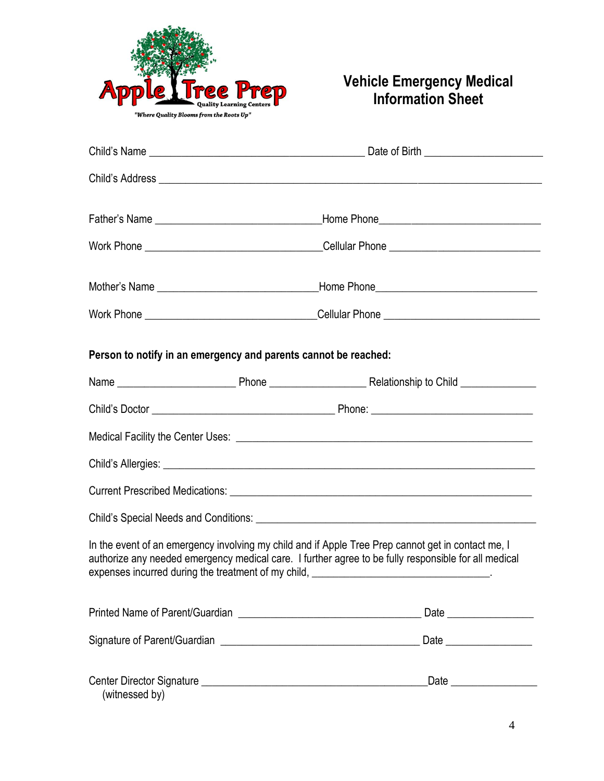

### **Vehicle Emergency Medical Information Sheet**

|                |                                                                                                                       | Work Phone ___________________________________Cellular Phone ___________________                                                                                                                                                                                                                      |
|----------------|-----------------------------------------------------------------------------------------------------------------------|-------------------------------------------------------------------------------------------------------------------------------------------------------------------------------------------------------------------------------------------------------------------------------------------------------|
|                |                                                                                                                       |                                                                                                                                                                                                                                                                                                       |
|                |                                                                                                                       |                                                                                                                                                                                                                                                                                                       |
|                | Person to notify in an emergency and parents cannot be reached:                                                       |                                                                                                                                                                                                                                                                                                       |
|                |                                                                                                                       |                                                                                                                                                                                                                                                                                                       |
|                |                                                                                                                       |                                                                                                                                                                                                                                                                                                       |
|                |                                                                                                                       |                                                                                                                                                                                                                                                                                                       |
|                |                                                                                                                       |                                                                                                                                                                                                                                                                                                       |
|                |                                                                                                                       |                                                                                                                                                                                                                                                                                                       |
|                |                                                                                                                       |                                                                                                                                                                                                                                                                                                       |
|                |                                                                                                                       | In the event of an emergency involving my child and if Apple Tree Prep cannot get in contact me, I<br>authorize any needed emergency medical care. I further agree to be fully responsible for all medical<br>expenses incurred during the treatment of my child, __________________________________. |
|                |                                                                                                                       | Date                                                                                                                                                                                                                                                                                                  |
|                |                                                                                                                       |                                                                                                                                                                                                                                                                                                       |
| (witnessed by) | Center Director Signature Learn Communication and Communication and Communication and Communication and Communication |                                                                                                                                                                                                                                                                                                       |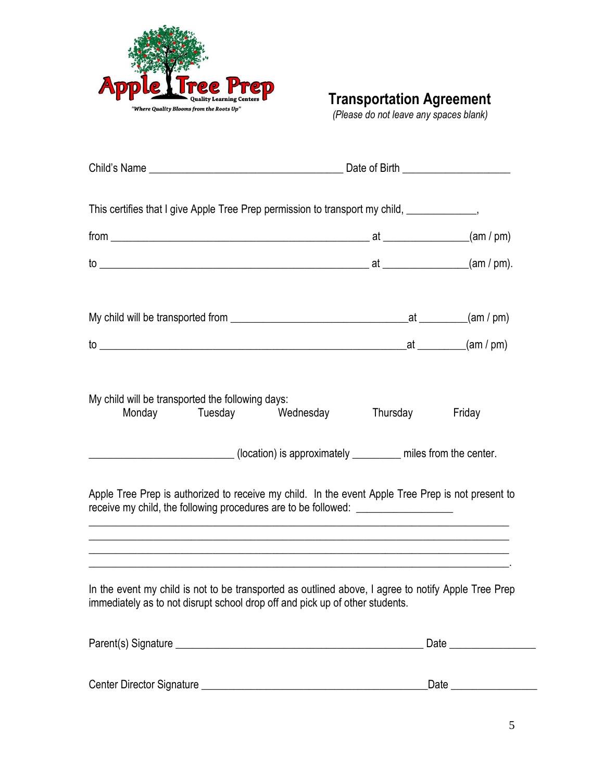

**Transportation Agreement**

 *(Please do not leave any spaces blank)*

| This certifies that I give Apple Tree Prep permission to transport my child, _____________,                                                                                                                                                                                                                                                                                                                                   |          |        |
|-------------------------------------------------------------------------------------------------------------------------------------------------------------------------------------------------------------------------------------------------------------------------------------------------------------------------------------------------------------------------------------------------------------------------------|----------|--------|
| $from$ $\qquad \qquad (am / pm)$                                                                                                                                                                                                                                                                                                                                                                                              |          |        |
|                                                                                                                                                                                                                                                                                                                                                                                                                               |          |        |
|                                                                                                                                                                                                                                                                                                                                                                                                                               |          |        |
|                                                                                                                                                                                                                                                                                                                                                                                                                               |          |        |
| My child will be transported the following days:<br>Monday<br>Tuesday<br>Wednesday<br>(location) is approximately _______ miles from the center.<br>Apple Tree Prep is authorized to receive my child. In the event Apple Tree Prep is not present to<br>receive my child, the following procedures are to be followed: _________________<br>,我们也不能在这里的时候,我们也不能在这里的时候,我们也不能在这里的时候,我们也不能会不能在这里的时候,我们也不能会不能会不能会不能会不能会不能会不能会不能会不 | Thursday | Friday |
| In the event my child is not to be transported as outlined above, I agree to notify Apple Tree Prep<br>immediately as to not disrupt school drop off and pick up of other students.                                                                                                                                                                                                                                           |          |        |
|                                                                                                                                                                                                                                                                                                                                                                                                                               |          |        |

| Center Director Signature | Jate |
|---------------------------|------|
|                           |      |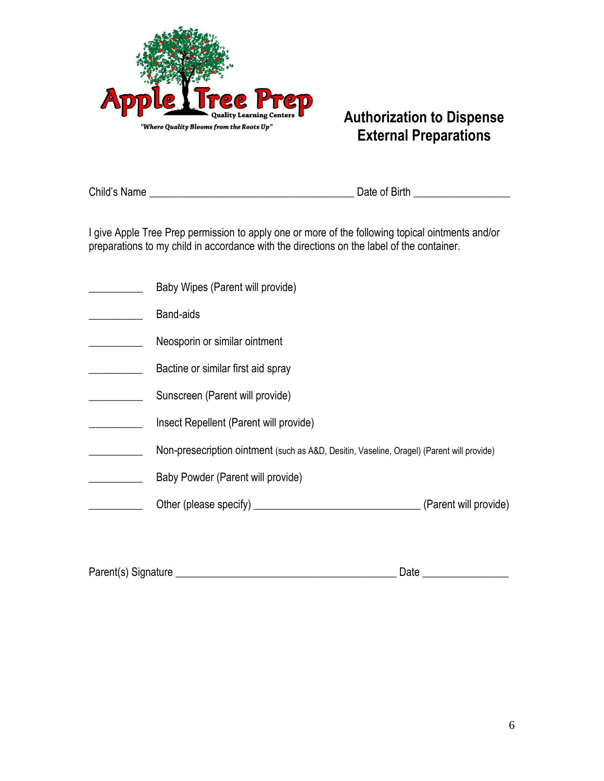

### **Authorization to Dispense External Preparations**

Child's Name \_\_\_\_\_\_\_\_\_\_\_\_\_\_\_\_\_\_\_\_\_\_\_\_\_\_\_\_\_\_\_\_\_\_\_\_\_\_ Date of Birth \_\_\_\_\_\_\_\_\_\_\_\_\_\_\_\_\_\_

I give Apple Tree Prep permission to apply one or more of the following topical ointments and/or preparations to my child in accordance with the directions on the label of the container.

| Baby Wipes (Parent will provide)                                                          |                       |
|-------------------------------------------------------------------------------------------|-----------------------|
| Band-aids                                                                                 |                       |
| Neosporin or similar ointment                                                             |                       |
| Bactine or similar first aid spray                                                        |                       |
| Sunscreen (Parent will provide)                                                           |                       |
| Insect Repellent (Parent will provide)                                                    |                       |
| Non-presecription ointment (such as A&D, Desitin, Vaseline, Oragel) (Parent will provide) |                       |
| Baby Powder (Parent will provide)                                                         |                       |
| Other (please specify)                                                                    | (Parent will provide) |
|                                                                                           |                       |

| Parent(s) Signature<br>Date |  |
|-----------------------------|--|
|                             |  |
|                             |  |
|                             |  |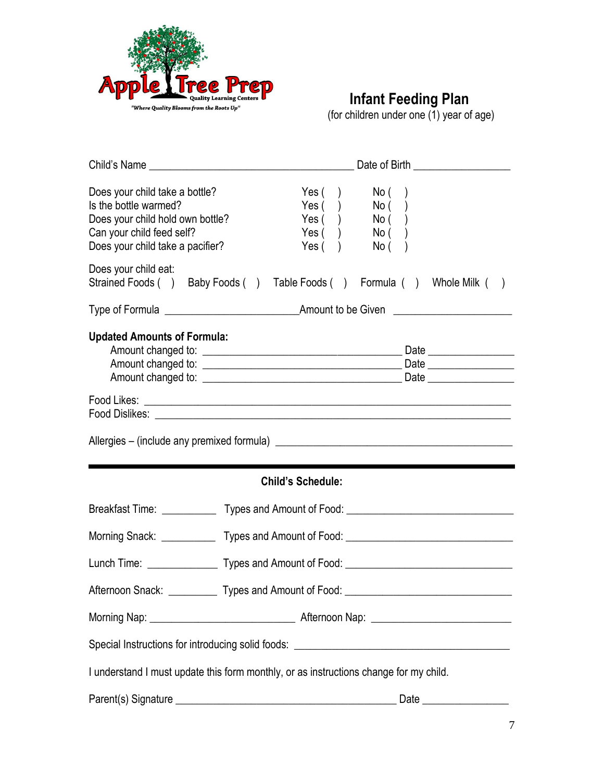

## **Infant Feeding Plan**

(for children under one (1) year of age)

|                                                                                                                                                              | Date of Birth ___________________                                                             |
|--------------------------------------------------------------------------------------------------------------------------------------------------------------|-----------------------------------------------------------------------------------------------|
| Does your child take a bottle?<br>Is the bottle warmed?<br>Does your child hold own bottle?<br>Can your child feed self?<br>Does your child take a pacifier? | Yes $($ )<br>No (<br>Yes( )<br>No( )<br>Yes( )<br>No( )<br>Yes( )<br>No( )<br>Yes( )<br>No( ) |
| Does your child eat:                                                                                                                                         |                                                                                               |
|                                                                                                                                                              | Strained Foods () Baby Foods () Table Foods () Formula () Whole Milk ()                       |
|                                                                                                                                                              |                                                                                               |
| <b>Updated Amounts of Formula:</b>                                                                                                                           |                                                                                               |
|                                                                                                                                                              |                                                                                               |
|                                                                                                                                                              |                                                                                               |
|                                                                                                                                                              | <b>Child's Schedule:</b>                                                                      |
|                                                                                                                                                              | Breakfast Time: ______________ Types and Amount of Food: ________________________             |
|                                                                                                                                                              | Morning Snack: _______________ Types and Amount of Food: ________________________             |
|                                                                                                                                                              |                                                                                               |
|                                                                                                                                                              |                                                                                               |
|                                                                                                                                                              |                                                                                               |
|                                                                                                                                                              | Special Instructions for introducing solid foods: ______________________________              |
|                                                                                                                                                              | I understand I must update this form monthly, or as instructions change for my child.         |
|                                                                                                                                                              | Date $\_$                                                                                     |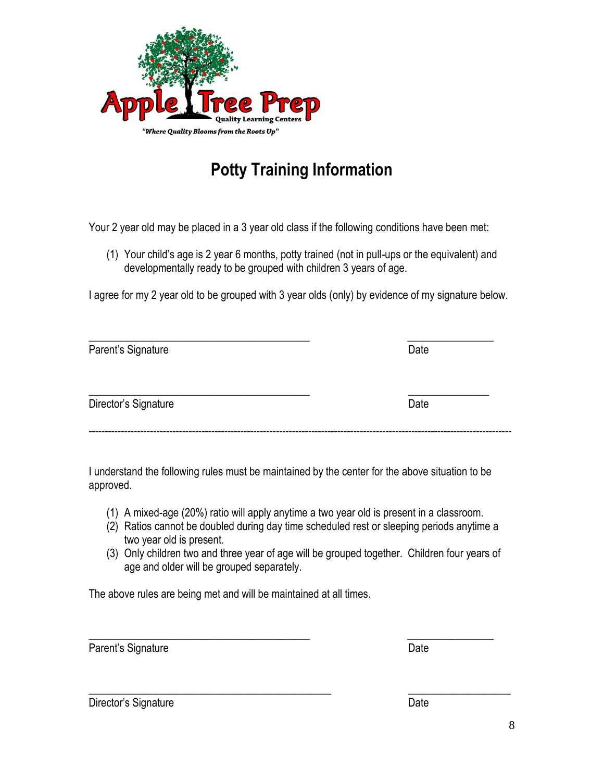

# **Potty Training Information**

Your 2 year old may be placed in a 3 year old class if the following conditions have been met:

(1) Your child's age is 2 year 6 months, potty trained (not in pull-ups or the equivalent) and developmentally ready to be grouped with children 3 years of age.

I agree for my 2 year old to be grouped with 3 year olds (only) by evidence of my signature below.

| Parent's Signature   | Date |
|----------------------|------|
| Director's Signature | Date |

I understand the following rules must be maintained by the center for the above situation to be approved.

- (1) A mixed-age (20%) ratio will apply anytime a two year old is present in a classroom.
- (2) Ratios cannot be doubled during day time scheduled rest or sleeping periods anytime a two year old is present.
- (3) Only children two and three year of age will be grouped together. Children four years of age and older will be grouped separately.

 $\overline{\phantom{a}}$  , and the contract of the contract of the contract of the contract of the contract of the contract of the contract of the contract of the contract of the contract of the contract of the contract of the contrac

The above rules are being met and will be maintained at all times.

Parent's Signature Date Date Date

\_\_\_\_\_\_\_\_\_\_\_\_\_\_\_\_\_\_\_\_\_\_\_\_\_\_\_\_\_\_\_\_\_\_\_\_\_\_\_\_\_\_\_\_\_ \_\_\_\_\_\_\_\_\_\_\_\_\_\_\_\_\_\_\_ Director's Signature **Director's Signature Date**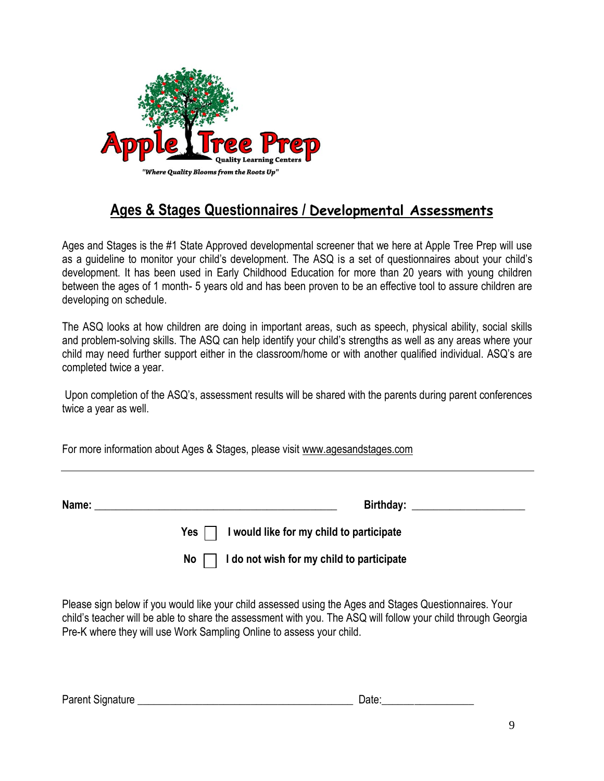

## **Ages & Stages Questionnaires / Developmental Assessments**

Ages and Stages is the #1 State Approved developmental screener that we here at Apple Tree Prep will use as a guideline to monitor your child's development. The ASQ is a set of questionnaires about your child's development. It has been used in Early Childhood Education for more than 20 years with young children between the ages of 1 month- 5 years old and has been proven to be an effective tool to assure children are developing on schedule.

The ASQ looks at how children are doing in important areas, such as speech, physical ability, social skills and problem-solving skills. The ASQ can help identify your child's strengths as well as any areas where your child may need further support either in the classroom/home or with another qualified individual. ASQ's are completed twice a year.

Upon completion of the ASQ's, assessment results will be shared with the parents during parent conferences twice a year as well.

For more information about Ages & Stages, please visit [www.agesandstages.com](http://www.agesandstages.com/) 

| Name:           | Birthday:                                 |
|-----------------|-------------------------------------------|
| $Yes \mid \mid$ | I would like for my child to participate  |
| No              | I do not wish for my child to participate |

Please sign below if you would like your child assessed using the Ages and Stages Questionnaires. Your child's teacher will be able to share the assessment with you. The ASQ will follow your child through Georgia Pre-K where they will use Work Sampling Online to assess your child.

| <b>Parent Signature</b> | $1 - 1$ |
|-------------------------|---------|
|-------------------------|---------|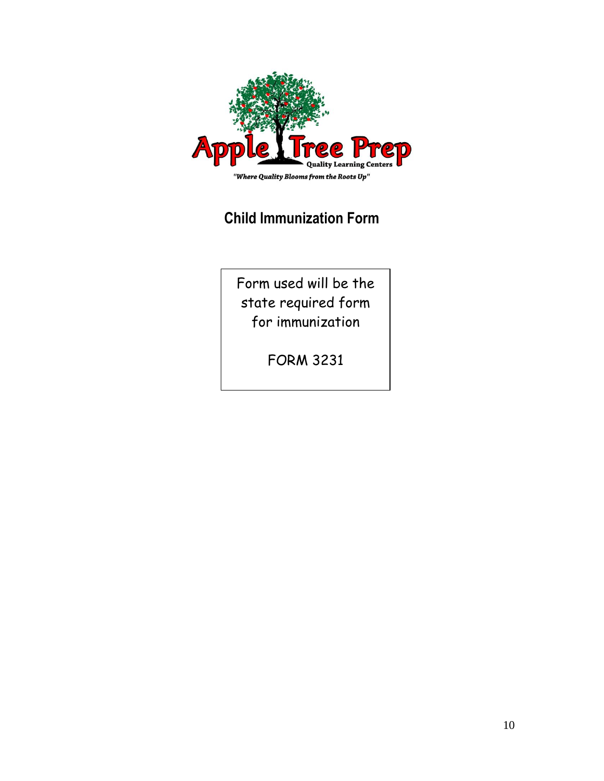

## **Child Immunization Form**

Form used will be the state required form for immunization

FORM 3231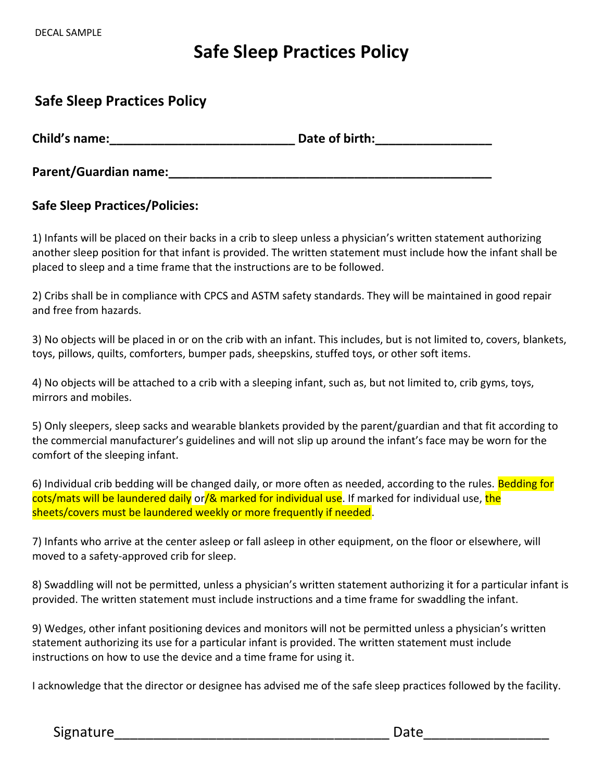# **Safe Sleep Practices Policy**

### **Safe Sleep Practices Policy**

**Child's name:**<br> **Child's name:** 

**Parent/Guardian name:\_\_\_\_\_\_\_\_\_\_\_\_\_\_\_\_\_\_\_\_\_\_\_\_\_\_\_\_\_\_\_\_\_\_\_\_\_\_\_\_\_\_\_\_\_\_\_**

#### **Safe Sleep Practices/Policies:**

1) Infants will be placed on their backs in a crib to sleep unless a physician's written statement authorizing another sleep position for that infant is provided. The written statement must include how the infant shall be placed to sleep and a time frame that the instructions are to be followed.

2) Cribs shall be in compliance with CPCS and ASTM safety standards. They will be maintained in good repair and free from hazards.

3) No objects will be placed in or on the crib with an infant. This includes, but is not limited to, covers, blankets, toys, pillows, quilts, comforters, bumper pads, sheepskins, stuffed toys, or other soft items.

4) No objects will be attached to a crib with a sleeping infant, such as, but not limited to, crib gyms, toys, mirrors and mobiles.

5) Only sleepers, sleep sacks and wearable blankets provided by the parent/guardian and that fit according to the commercial manufacturer's guidelines and will not slip up around the infant's face may be worn for the comfort of the sleeping infant.

6) Individual crib bedding will be changed daily, or more often as needed, according to the rules. Bedding for cots/mats will be laundered daily or/& marked for individual use. If marked for individual use, the sheets/covers must be laundered weekly or more frequently if needed.

7) Infants who arrive at the center asleep or fall asleep in other equipment, on the floor or elsewhere, will moved to a safety-approved crib for sleep.

8) Swaddling will not be permitted, unless a physician's written statement authorizing it for a particular infant is provided. The written statement must include instructions and a time frame for swaddling the infant.

9) Wedges, other infant positioning devices and monitors will not be permitted unless a physician's written statement authorizing its use for a particular infant is provided. The written statement must include instructions on how to use the device and a time frame for using it.

I acknowledge that the director or designee has advised me of the safe sleep practices followed by the facility.

Signature